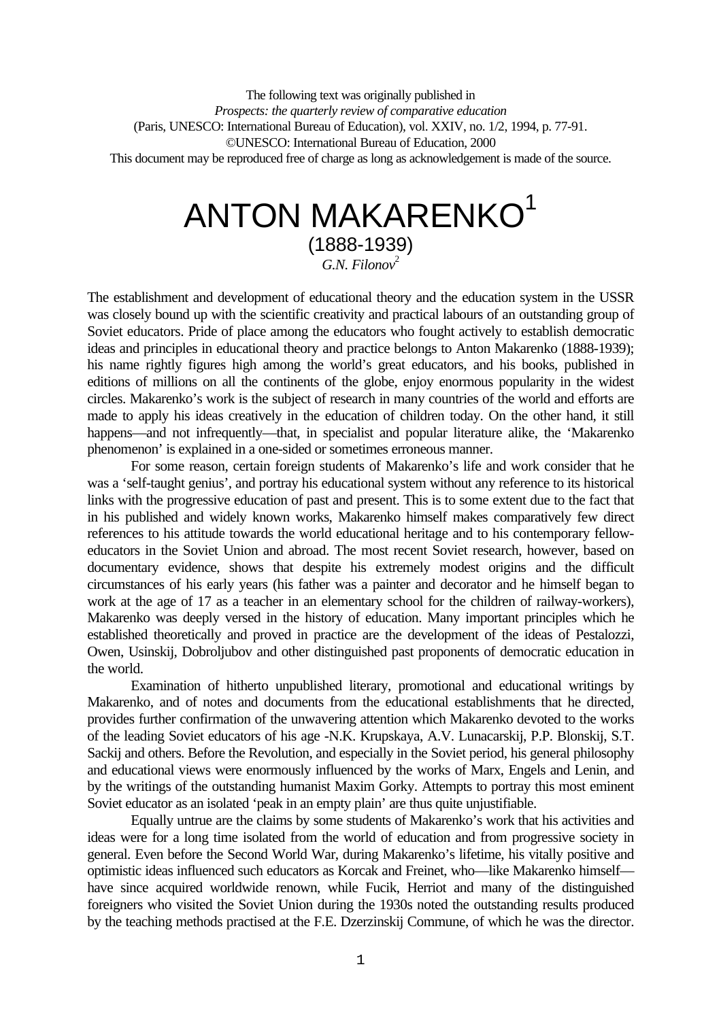The following text was originally published in *Prospects: the quarterly review of comparative education* (Paris, UNESCO: International Bureau of Education), vol. XXIV, no. 1/2, 1994, p. 77-91. ©UNESCO: International Bureau of Education, 2000 This document may be reproduced free of charge as long as acknowledgement is made of the source.

## ANTON MAKARENKO<sup>1</sup> (1888-1939)

*G.N. Filonov*<sup>2</sup>

The establishment and development of educational theory and the education system in the USSR was closely bound up with the scientific creativity and practical labours of an outstanding group of Soviet educators. Pride of place among the educators who fought actively to establish democratic ideas and principles in educational theory and practice belongs to Anton Makarenko (1888-1939); his name rightly figures high among the world's great educators, and his books, published in editions of millions on all the continents of the globe, enjoy enormous popularity in the widest circles. Makarenko's work is the subject of research in many countries of the world and efforts are made to apply his ideas creatively in the education of children today. On the other hand, it still happens—and not infrequently—that, in specialist and popular literature alike, the 'Makarenko phenomenon' is explained in a one-sided or sometimes erroneous manner.

For some reason, certain foreign students of Makarenko's life and work consider that he was a 'self-taught genius', and portray his educational system without any reference to its historical links with the progressive education of past and present. This is to some extent due to the fact that in his published and widely known works, Makarenko himself makes comparatively few direct references to his attitude towards the world educational heritage and to his contemporary felloweducators in the Soviet Union and abroad. The most recent Soviet research, however, based on documentary evidence, shows that despite his extremely modest origins and the difficult circumstances of his early years (his father was a painter and decorator and he himself began to work at the age of 17 as a teacher in an elementary school for the children of railway-workers), Makarenko was deeply versed in the history of education. Many important principles which he established theoretically and proved in practice are the development of the ideas of Pestalozzi, Owen, Usinskij, Dobroljubov and other distinguished past proponents of democratic education in the world.

Examination of hitherto unpublished literary, promotional and educational writings by Makarenko, and of notes and documents from the educational establishments that he directed, provides further confirmation of the unwavering attention which Makarenko devoted to the works of the leading Soviet educators of his age -N.K. Krupskaya, A.V. Lunacarskij, P.P. Blonskij, S.T. Sackij and others. Before the Revolution, and especially in the Soviet period, his general philosophy and educational views were enormously influenced by the works of Marx, Engels and Lenin, and by the writings of the outstanding humanist Maxim Gorky. Attempts to portray this most eminent Soviet educator as an isolated 'peak in an empty plain' are thus quite unjustifiable.

Equally untrue are the claims by some students of Makarenko's work that his activities and ideas were for a long time isolated from the world of education and from progressive society in general. Even before the Second World War, during Makarenko's lifetime, his vitally positive and optimistic ideas influenced such educators as Korcak and Freinet, who—like Makarenko himself have since acquired worldwide renown, while Fucik, Herriot and many of the distinguished foreigners who visited the Soviet Union during the 1930s noted the outstanding results produced by the teaching methods practised at the F.E. Dzerzinskij Commune, of which he was the director.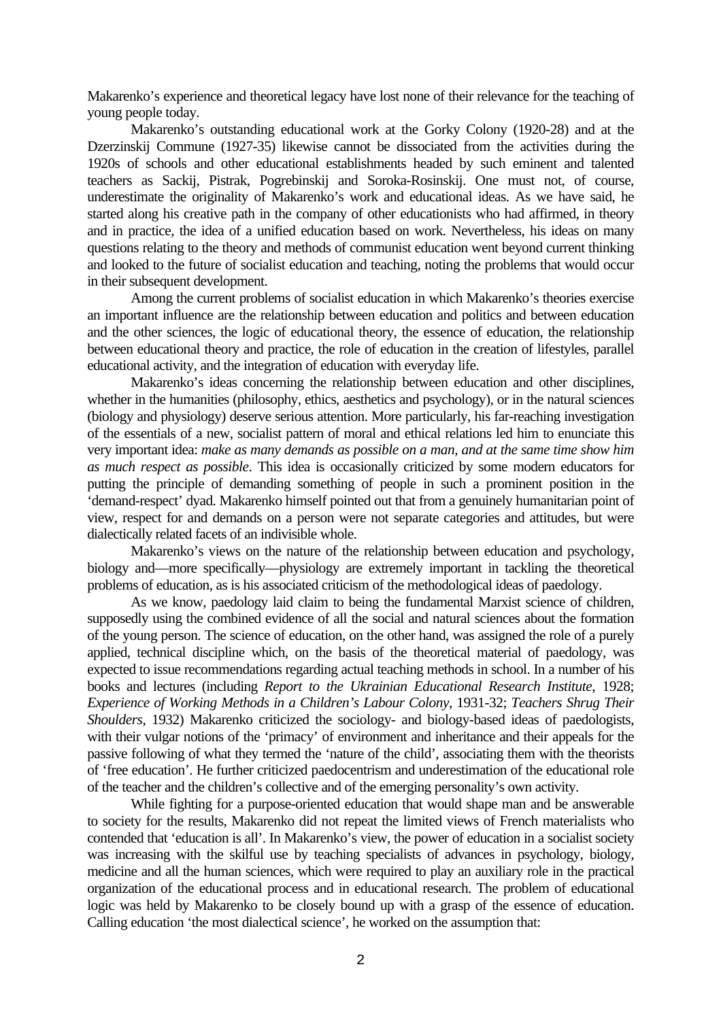Makarenko's experience and theoretical legacy have lost none of their relevance for the teaching of young people today.

Makarenko's outstanding educational work at the Gorky Colony (1920-28) and at the Dzerzinskij Commune (1927-35) likewise cannot be dissociated from the activities during the 1920s of schools and other educational establishments headed by such eminent and talented teachers as Sackij, Pistrak, Pogrebinskij and Soroka-Rosinskij. One must not, of course, underestimate the originality of Makarenko's work and educational ideas. As we have said, he started along his creative path in the company of other educationists who had affirmed, in theory and in practice, the idea of a unified education based on work. Nevertheless, his ideas on many questions relating to the theory and methods of communist education went beyond current thinking and looked to the future of socialist education and teaching, noting the problems that would occur in their subsequent development.

Among the current problems of socialist education in which Makarenko's theories exercise an important influence are the relationship between education and politics and between education and the other sciences, the logic of educational theory, the essence of education, the relationship between educational theory and practice, the role of education in the creation of lifestyles, parallel educational activity, and the integration of education with everyday life.

Makarenko's ideas concerning the relationship between education and other disciplines, whether in the humanities (philosophy, ethics, aesthetics and psychology), or in the natural sciences (biology and physiology) deserve serious attention. More particularly, his far-reaching investigation of the essentials of a new, socialist pattern of moral and ethical relations led him to enunciate this very important idea: *make as many demands as possible on a man, and at the same time show him as much respect as possible*. This idea is occasionally criticized by some modern educators for putting the principle of demanding something of people in such a prominent position in the 'demand-respect' dyad. Makarenko himself pointed out that from a genuinely humanitarian point of view, respect for and demands on a person were not separate categories and attitudes, but were dialectically related facets of an indivisible whole.

Makarenko's views on the nature of the relationship between education and psychology, biology and—more specifically—physiology are extremely important in tackling the theoretical problems of education, as is his associated criticism of the methodological ideas of paedology.

As we know, paedology laid claim to being the fundamental Marxist science of children, supposedly using the combined evidence of all the social and natural sciences about the formation of the young person. The science of education, on the other hand, was assigned the role of a purely applied, technical discipline which, on the basis of the theoretical material of paedology, was expected to issue recommendations regarding actual teaching methods in school. In a number of his books and lectures (including *Report to the Ukrainian Educational Research Institute*, 1928; *Experience of Working Methods in a Children's Labour Colony*, 1931-32; *Teachers Shrug Their Shoulders*, 1932) Makarenko criticized the sociology- and biology-based ideas of paedologists, with their vulgar notions of the 'primacy' of environment and inheritance and their appeals for the passive following of what they termed the 'nature of the child', associating them with the theorists of 'free education'. He further criticized paedocentrism and underestimation of the educational role of the teacher and the children's collective and of the emerging personality's own activity.

While fighting for a purpose-oriented education that would shape man and be answerable to society for the results, Makarenko did not repeat the limited views of French materialists who contended that 'education is all'. In Makarenko's view, the power of education in a socialist society was increasing with the skilful use by teaching specialists of advances in psychology, biology, medicine and all the human sciences, which were required to play an auxiliary role in the practical organization of the educational process and in educational research. The problem of educational logic was held by Makarenko to be closely bound up with a grasp of the essence of education. Calling education 'the most dialectical science', he worked on the assumption that: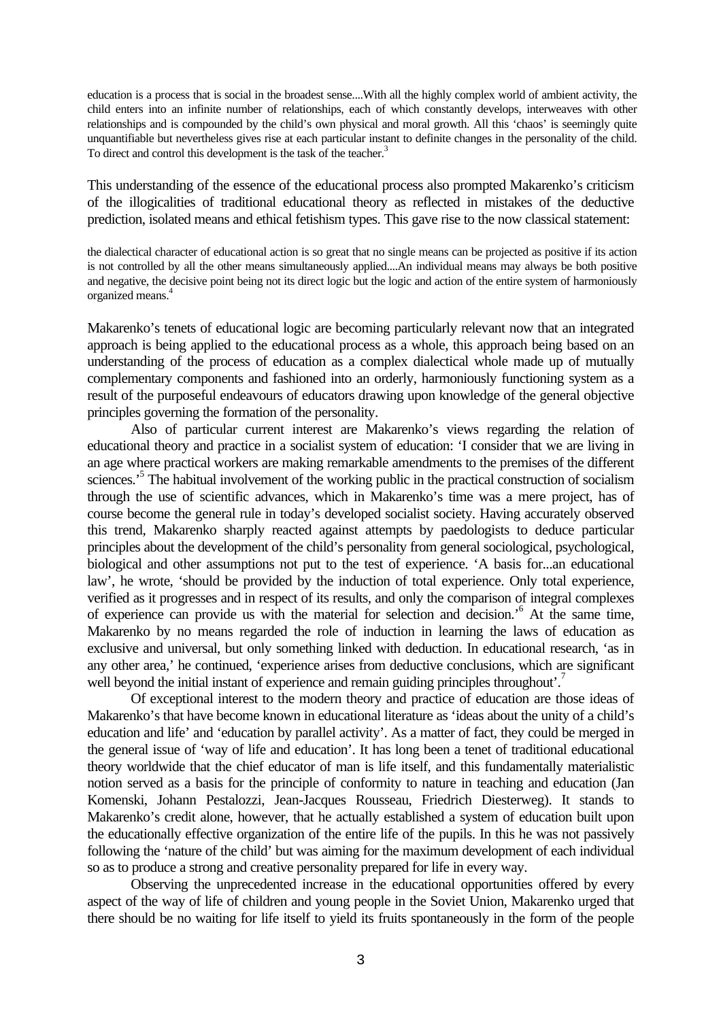education is a process that is social in the broadest sense....With all the highly complex world of ambient activity, the child enters into an infinite number of relationships, each of which constantly develops, interweaves with other relationships and is compounded by the child's own physical and moral growth. All this 'chaos' is seemingly quite unquantifiable but nevertheless gives rise at each particular instant to definite changes in the personality of the child. To direct and control this development is the task of the teacher.<sup>3</sup>

This understanding of the essence of the educational process also prompted Makarenko's criticism of the illogicalities of traditional educational theory as reflected in mistakes of the deductive prediction, isolated means and ethical fetishism types. This gave rise to the now classical statement:

the dialectical character of educational action is so great that no single means can be projected as positive if its action is not controlled by all the other means simultaneously applied....An individual means may always be both positive and negative, the decisive point being not its direct logic but the logic and action of the entire system of harmoniously organized means.<sup>4</sup>

Makarenko's tenets of educational logic are becoming particularly relevant now that an integrated approach is being applied to the educational process as a whole, this approach being based on an understanding of the process of education as a complex dialectical whole made up of mutually complementary components and fashioned into an orderly, harmoniously functioning system as a result of the purposeful endeavours of educators drawing upon knowledge of the general objective principles governing the formation of the personality.

Also of particular current interest are Makarenko's views regarding the relation of educational theory and practice in a socialist system of education: 'I consider that we are living in an age where practical workers are making remarkable amendments to the premises of the different sciences.<sup>5</sup> The habitual involvement of the working public in the practical construction of socialism through the use of scientific advances, which in Makarenko's time was a mere project, has of course become the general rule in today's developed socialist society. Having accurately observed this trend, Makarenko sharply reacted against attempts by paedologists to deduce particular principles about the development of the child's personality from general sociological, psychological, biological and other assumptions not put to the test of experience. 'A basis for...an educational law', he wrote, 'should be provided by the induction of total experience. Only total experience, verified as it progresses and in respect of its results, and only the comparison of integral complexes of experience can provide us with the material for selection and decision.<sup>6</sup> At the same time, Makarenko by no means regarded the role of induction in learning the laws of education as exclusive and universal, but only something linked with deduction. In educational research, 'as in any other area,' he continued, 'experience arises from deductive conclusions, which are significant well beyond the initial instant of experience and remain guiding principles throughout'.<sup>7</sup>

Of exceptional interest to the modern theory and practice of education are those ideas of Makarenko's that have become known in educational literature as 'ideas about the unity of a child's education and life' and 'education by parallel activity'. As a matter of fact, they could be merged in the general issue of 'way of life and education'. It has long been a tenet of traditional educational theory worldwide that the chief educator of man is life itself, and this fundamentally materialistic notion served as a basis for the principle of conformity to nature in teaching and education (Jan Komenski, Johann Pestalozzi, Jean-Jacques Rousseau, Friedrich Diesterweg). It stands to Makarenko's credit alone, however, that he actually established a system of education built upon the educationally effective organization of the entire life of the pupils. In this he was not passively following the 'nature of the child' but was aiming for the maximum development of each individual so as to produce a strong and creative personality prepared for life in every way.

Observing the unprecedented increase in the educational opportunities offered by every aspect of the way of life of children and young people in the Soviet Union, Makarenko urged that there should be no waiting for life itself to yield its fruits spontaneously in the form of the people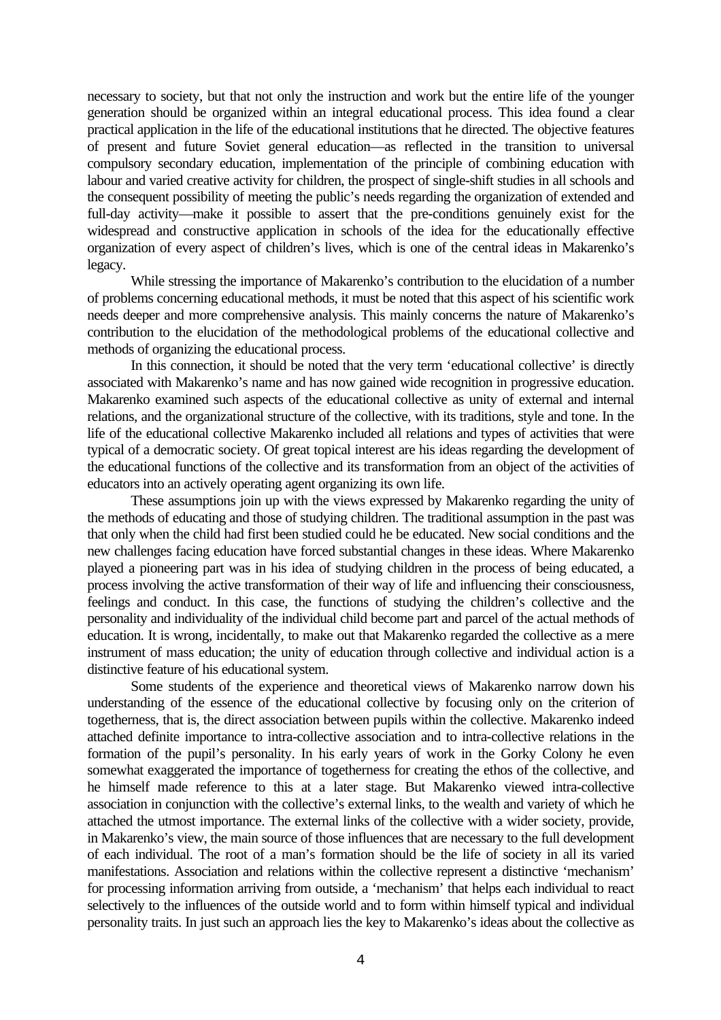necessary to society, but that not only the instruction and work but the entire life of the younger generation should be organized within an integral educational process. This idea found a clear practical application in the life of the educational institutions that he directed. The objective features of present and future Soviet general education—as reflected in the transition to universal compulsory secondary education, implementation of the principle of combining education with labour and varied creative activity for children, the prospect of single-shift studies in all schools and the consequent possibility of meeting the public's needs regarding the organization of extended and full-day activity—make it possible to assert that the pre-conditions genuinely exist for the widespread and constructive application in schools of the idea for the educationally effective organization of every aspect of children's lives, which is one of the central ideas in Makarenko's legacy.

While stressing the importance of Makarenko's contribution to the elucidation of a number of problems concerning educational methods, it must be noted that this aspect of his scientific work needs deeper and more comprehensive analysis. This mainly concerns the nature of Makarenko's contribution to the elucidation of the methodological problems of the educational collective and methods of organizing the educational process.

In this connection, it should be noted that the very term 'educational collective' is directly associated with Makarenko's name and has now gained wide recognition in progressive education. Makarenko examined such aspects of the educational collective as unity of external and internal relations, and the organizational structure of the collective, with its traditions, style and tone. In the life of the educational collective Makarenko included all relations and types of activities that were typical of a democratic society. Of great topical interest are his ideas regarding the development of the educational functions of the collective and its transformation from an object of the activities of educators into an actively operating agent organizing its own life.

These assumptions join up with the views expressed by Makarenko regarding the unity of the methods of educating and those of studying children. The traditional assumption in the past was that only when the child had first been studied could he be educated. New social conditions and the new challenges facing education have forced substantial changes in these ideas. Where Makarenko played a pioneering part was in his idea of studying children in the process of being educated, a process involving the active transformation of their way of life and influencing their consciousness, feelings and conduct. In this case, the functions of studying the children's collective and the personality and individuality of the individual child become part and parcel of the actual methods of education. It is wrong, incidentally, to make out that Makarenko regarded the collective as a mere instrument of mass education; the unity of education through collective and individual action is a distinctive feature of his educational system.

Some students of the experience and theoretical views of Makarenko narrow down his understanding of the essence of the educational collective by focusing only on the criterion of togetherness, that is, the direct association between pupils within the collective. Makarenko indeed attached definite importance to intra-collective association and to intra-collective relations in the formation of the pupil's personality. In his early years of work in the Gorky Colony he even somewhat exaggerated the importance of togetherness for creating the ethos of the collective, and he himself made reference to this at a later stage. But Makarenko viewed intra-collective association in conjunction with the collective's external links, to the wealth and variety of which he attached the utmost importance. The external links of the collective with a wider society, provide, in Makarenko's view, the main source of those influences that are necessary to the full development of each individual. The root of a man's formation should be the life of society in all its varied manifestations. Association and relations within the collective represent a distinctive 'mechanism' for processing information arriving from outside, a 'mechanism' that helps each individual to react selectively to the influences of the outside world and to form within himself typical and individual personality traits. In just such an approach lies the key to Makarenko's ideas about the collective as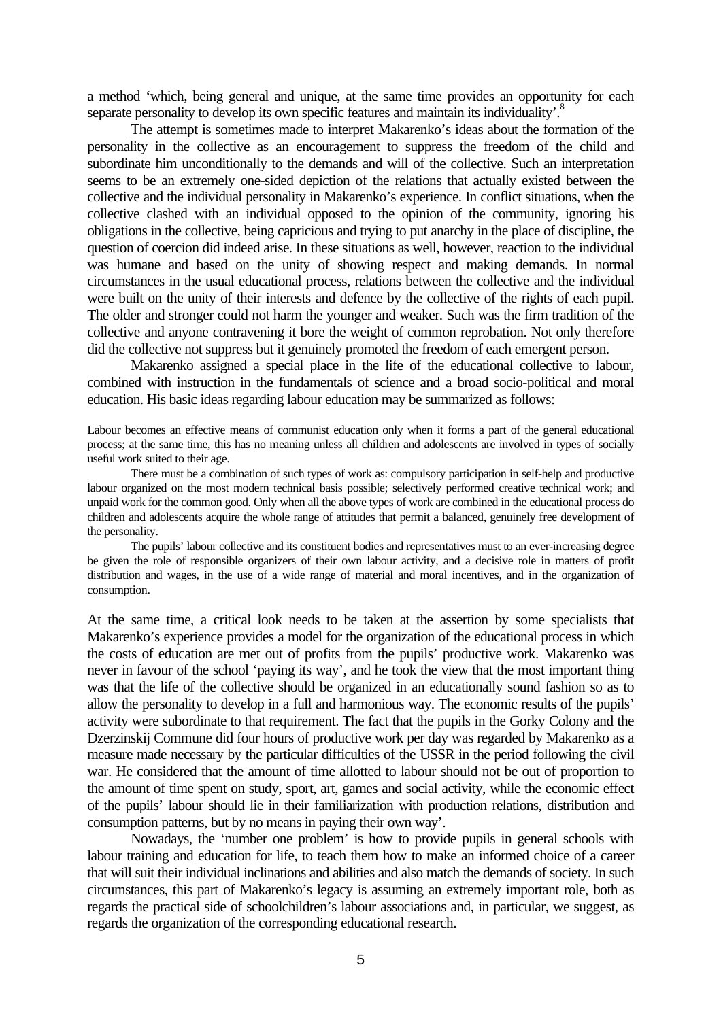a method 'which, being general and unique, at the same time provides an opportunity for each separate personality to develop its own specific features and maintain its individuality'.<sup>8</sup>

The attempt is sometimes made to interpret Makarenko's ideas about the formation of the personality in the collective as an encouragement to suppress the freedom of the child and subordinate him unconditionally to the demands and will of the collective. Such an interpretation seems to be an extremely one-sided depiction of the relations that actually existed between the collective and the individual personality in Makarenko's experience. In conflict situations, when the collective clashed with an individual opposed to the opinion of the community, ignoring his obligations in the collective, being capricious and trying to put anarchy in the place of discipline, the question of coercion did indeed arise. In these situations as well, however, reaction to the individual was humane and based on the unity of showing respect and making demands. In normal circumstances in the usual educational process, relations between the collective and the individual were built on the unity of their interests and defence by the collective of the rights of each pupil. The older and stronger could not harm the younger and weaker. Such was the firm tradition of the collective and anyone contravening it bore the weight of common reprobation. Not only therefore did the collective not suppress but it genuinely promoted the freedom of each emergent person.

Makarenko assigned a special place in the life of the educational collective to labour, combined with instruction in the fundamentals of science and a broad socio-political and moral education. His basic ideas regarding labour education may be summarized as follows:

Labour becomes an effective means of communist education only when it forms a part of the general educational process; at the same time, this has no meaning unless all children and adolescents are involved in types of socially useful work suited to their age.

There must be a combination of such types of work as: compulsory participation in self-help and productive labour organized on the most modern technical basis possible; selectively performed creative technical work; and unpaid work for the common good. Only when all the above types of work are combined in the educational process do children and adolescents acquire the whole range of attitudes that permit a balanced, genuinely free development of the personality.

The pupils' labour collective and its constituent bodies and representatives must to an ever-increasing degree be given the role of responsible organizers of their own labour activity, and a decisive role in matters of profit distribution and wages, in the use of a wide range of material and moral incentives, and in the organization of consumption.

At the same time, a critical look needs to be taken at the assertion by some specialists that Makarenko's experience provides a model for the organization of the educational process in which the costs of education are met out of profits from the pupils' productive work. Makarenko was never in favour of the school 'paying its way', and he took the view that the most important thing was that the life of the collective should be organized in an educationally sound fashion so as to allow the personality to develop in a full and harmonious way. The economic results of the pupils' activity were subordinate to that requirement. The fact that the pupils in the Gorky Colony and the Dzerzinskij Commune did four hours of productive work per day was regarded by Makarenko as a measure made necessary by the particular difficulties of the USSR in the period following the civil war. He considered that the amount of time allotted to labour should not be out of proportion to the amount of time spent on study, sport, art, games and social activity, while the economic effect of the pupils' labour should lie in their familiarization with production relations, distribution and consumption patterns, but by no means in paying their own way'.

Nowadays, the 'number one problem' is how to provide pupils in general schools with labour training and education for life, to teach them how to make an informed choice of a career that will suit their individual inclinations and abilities and also match the demands of society. In such circumstances, this part of Makarenko's legacy is assuming an extremely important role, both as regards the practical side of schoolchildren's labour associations and, in particular, we suggest, as regards the organization of the corresponding educational research.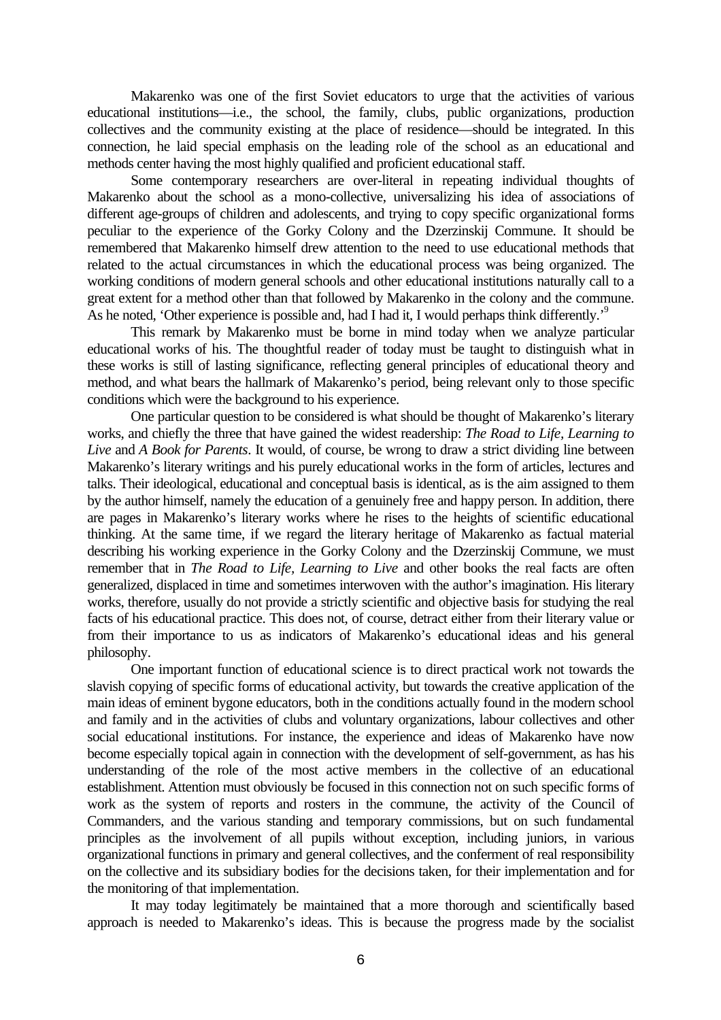Makarenko was one of the first Soviet educators to urge that the activities of various educational institutions—i.e., the school, the family, clubs, public organizations, production collectives and the community existing at the place of residence—should be integrated. In this connection, he laid special emphasis on the leading role of the school as an educational and methods center having the most highly qualified and proficient educational staff.

Some contemporary researchers are over-literal in repeating individual thoughts of Makarenko about the school as a mono-collective, universalizing his idea of associations of different age-groups of children and adolescents, and trying to copy specific organizational forms peculiar to the experience of the Gorky Colony and the Dzerzinskij Commune. It should be remembered that Makarenko himself drew attention to the need to use educational methods that related to the actual circumstances in which the educational process was being organized. The working conditions of modern general schools and other educational institutions naturally call to a great extent for a method other than that followed by Makarenko in the colony and the commune. As he noted, 'Other experience is possible and, had I had it, I would perhaps think differently.<sup>9</sup>

This remark by Makarenko must be borne in mind today when we analyze particular educational works of his. The thoughtful reader of today must be taught to distinguish what in these works is still of lasting significance, reflecting general principles of educational theory and method, and what bears the hallmark of Makarenko's period, being relevant only to those specific conditions which were the background to his experience.

One particular question to be considered is what should be thought of Makarenko's literary works, and chiefly the three that have gained the widest readership: *The Road to Life, Learning to Live* and *A Book for Parents*. It would, of course, be wrong to draw a strict dividing line between Makarenko's literary writings and his purely educational works in the form of articles, lectures and talks. Their ideological, educational and conceptual basis is identical, as is the aim assigned to them by the author himself, namely the education of a genuinely free and happy person. In addition, there are pages in Makarenko's literary works where he rises to the heights of scientific educational thinking. At the same time, if we regard the literary heritage of Makarenko as factual material describing his working experience in the Gorky Colony and the Dzerzinskij Commune, we must remember that in *The Road to Life, Learning to Live* and other books the real facts are often generalized, displaced in time and sometimes interwoven with the author's imagination. His literary works, therefore, usually do not provide a strictly scientific and objective basis for studying the real facts of his educational practice. This does not, of course, detract either from their literary value or from their importance to us as indicators of Makarenko's educational ideas and his general philosophy.

One important function of educational science is to direct practical work not towards the slavish copying of specific forms of educational activity, but towards the creative application of the main ideas of eminent bygone educators, both in the conditions actually found in the modern school and family and in the activities of clubs and voluntary organizations, labour collectives and other social educational institutions. For instance, the experience and ideas of Makarenko have now become especially topical again in connection with the development of self-government, as has his understanding of the role of the most active members in the collective of an educational establishment. Attention must obviously be focused in this connection not on such specific forms of work as the system of reports and rosters in the commune, the activity of the Council of Commanders, and the various standing and temporary commissions, but on such fundamental principles as the involvement of all pupils without exception, including juniors, in various organizational functions in primary and general collectives, and the conferment of real responsibility on the collective and its subsidiary bodies for the decisions taken, for their implementation and for the monitoring of that implementation.

It may today legitimately be maintained that a more thorough and scientifically based approach is needed to Makarenko's ideas. This is because the progress made by the socialist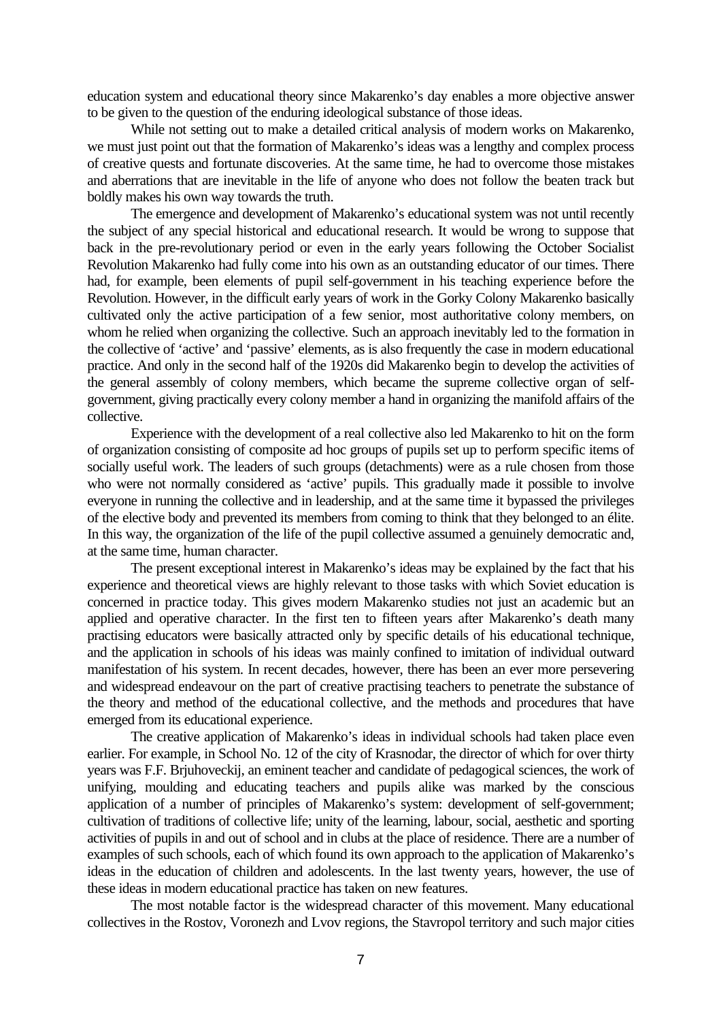education system and educational theory since Makarenko's day enables a more objective answer to be given to the question of the enduring ideological substance of those ideas.

While not setting out to make a detailed critical analysis of modern works on Makarenko, we must just point out that the formation of Makarenko's ideas was a lengthy and complex process of creative quests and fortunate discoveries. At the same time, he had to overcome those mistakes and aberrations that are inevitable in the life of anyone who does not follow the beaten track but boldly makes his own way towards the truth.

The emergence and development of Makarenko's educational system was not until recently the subject of any special historical and educational research. It would be wrong to suppose that back in the pre-revolutionary period or even in the early years following the October Socialist Revolution Makarenko had fully come into his own as an outstanding educator of our times. There had, for example, been elements of pupil self-government in his teaching experience before the Revolution. However, in the difficult early years of work in the Gorky Colony Makarenko basically cultivated only the active participation of a few senior, most authoritative colony members, on whom he relied when organizing the collective. Such an approach inevitably led to the formation in the collective of 'active' and 'passive' elements, as is also frequently the case in modern educational practice. And only in the second half of the 1920s did Makarenko begin to develop the activities of the general assembly of colony members, which became the supreme collective organ of selfgovernment, giving practically every colony member a hand in organizing the manifold affairs of the collective.

Experience with the development of a real collective also led Makarenko to hit on the form of organization consisting of composite ad hoc groups of pupils set up to perform specific items of socially useful work. The leaders of such groups (detachments) were as a rule chosen from those who were not normally considered as 'active' pupils. This gradually made it possible to involve everyone in running the collective and in leadership, and at the same time it bypassed the privileges of the elective body and prevented its members from coming to think that they belonged to an élite. In this way, the organization of the life of the pupil collective assumed a genuinely democratic and, at the same time, human character.

The present exceptional interest in Makarenko's ideas may be explained by the fact that his experience and theoretical views are highly relevant to those tasks with which Soviet education is concerned in practice today. This gives modern Makarenko studies not just an academic but an applied and operative character. In the first ten to fifteen years after Makarenko's death many practising educators were basically attracted only by specific details of his educational technique, and the application in schools of his ideas was mainly confined to imitation of individual outward manifestation of his system. In recent decades, however, there has been an ever more persevering and widespread endeavour on the part of creative practising teachers to penetrate the substance of the theory and method of the educational collective, and the methods and procedures that have emerged from its educational experience.

The creative application of Makarenko's ideas in individual schools had taken place even earlier. For example, in School No. 12 of the city of Krasnodar, the director of which for over thirty years was F.F. Brjuhoveckij, an eminent teacher and candidate of pedagogical sciences, the work of unifying, moulding and educating teachers and pupils alike was marked by the conscious application of a number of principles of Makarenko's system: development of self-government; cultivation of traditions of collective life; unity of the learning, labour, social, aesthetic and sporting activities of pupils in and out of school and in clubs at the place of residence. There are a number of examples of such schools, each of which found its own approach to the application of Makarenko's ideas in the education of children and adolescents. In the last twenty years, however, the use of these ideas in modern educational practice has taken on new features.

The most notable factor is the widespread character of this movement. Many educational collectives in the Rostov, Voronezh and Lvov regions, the Stavropol territory and such major cities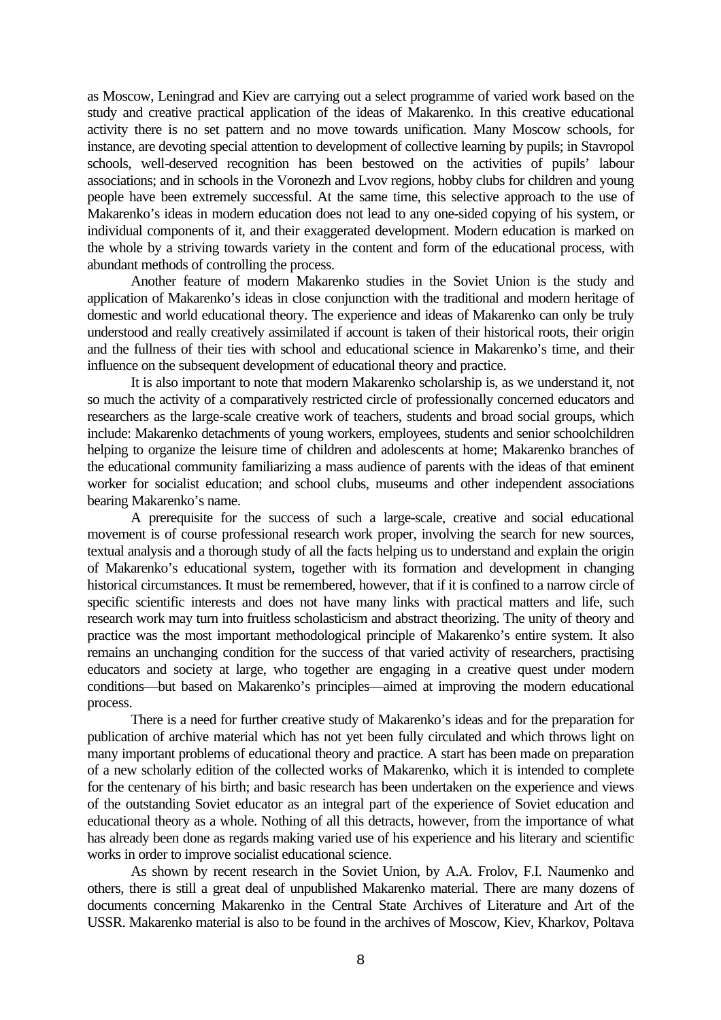as Moscow, Leningrad and Kiev are carrying out a select programme of varied work based on the study and creative practical application of the ideas of Makarenko. In this creative educational activity there is no set pattern and no move towards unification. Many Moscow schools, for instance, are devoting special attention to development of collective learning by pupils; in Stavropol schools, well-deserved recognition has been bestowed on the activities of pupils' labour associations; and in schools in the Voronezh and Lvov regions, hobby clubs for children and young people have been extremely successful. At the same time, this selective approach to the use of Makarenko's ideas in modern education does not lead to any one-sided copying of his system, or individual components of it, and their exaggerated development. Modern education is marked on the whole by a striving towards variety in the content and form of the educational process, with abundant methods of controlling the process.

Another feature of modern Makarenko studies in the Soviet Union is the study and application of Makarenko's ideas in close conjunction with the traditional and modern heritage of domestic and world educational theory. The experience and ideas of Makarenko can only be truly understood and really creatively assimilated if account is taken of their historical roots, their origin and the fullness of their ties with school and educational science in Makarenko's time, and their influence on the subsequent development of educational theory and practice.

It is also important to note that modern Makarenko scholarship is, as we understand it, not so much the activity of a comparatively restricted circle of professionally concerned educators and researchers as the large-scale creative work of teachers, students and broad social groups, which include: Makarenko detachments of young workers, employees, students and senior schoolchildren helping to organize the leisure time of children and adolescents at home; Makarenko branches of the educational community familiarizing a mass audience of parents with the ideas of that eminent worker for socialist education; and school clubs, museums and other independent associations bearing Makarenko's name.

A prerequisite for the success of such a large-scale, creative and social educational movement is of course professional research work proper, involving the search for new sources, textual analysis and a thorough study of all the facts helping us to understand and explain the origin of Makarenko's educational system, together with its formation and development in changing historical circumstances. It must be remembered, however, that if it is confined to a narrow circle of specific scientific interests and does not have many links with practical matters and life, such research work may turn into fruitless scholasticism and abstract theorizing. The unity of theory and practice was the most important methodological principle of Makarenko's entire system. It also remains an unchanging condition for the success of that varied activity of researchers, practising educators and society at large, who together are engaging in a creative quest under modern conditions—but based on Makarenko's principles—aimed at improving the modern educational process.

There is a need for further creative study of Makarenko's ideas and for the preparation for publication of archive material which has not yet been fully circulated and which throws light on many important problems of educational theory and practice. A start has been made on preparation of a new scholarly edition of the collected works of Makarenko, which it is intended to complete for the centenary of his birth; and basic research has been undertaken on the experience and views of the outstanding Soviet educator as an integral part of the experience of Soviet education and educational theory as a whole. Nothing of all this detracts, however, from the importance of what has already been done as regards making varied use of his experience and his literary and scientific works in order to improve socialist educational science.

As shown by recent research in the Soviet Union, by A.A. Frolov, F.I. Naumenko and others, there is still a great deal of unpublished Makarenko material. There are many dozens of documents concerning Makarenko in the Central State Archives of Literature and Art of the USSR. Makarenko material is also to be found in the archives of Moscow, Kiev, Kharkov, Poltava